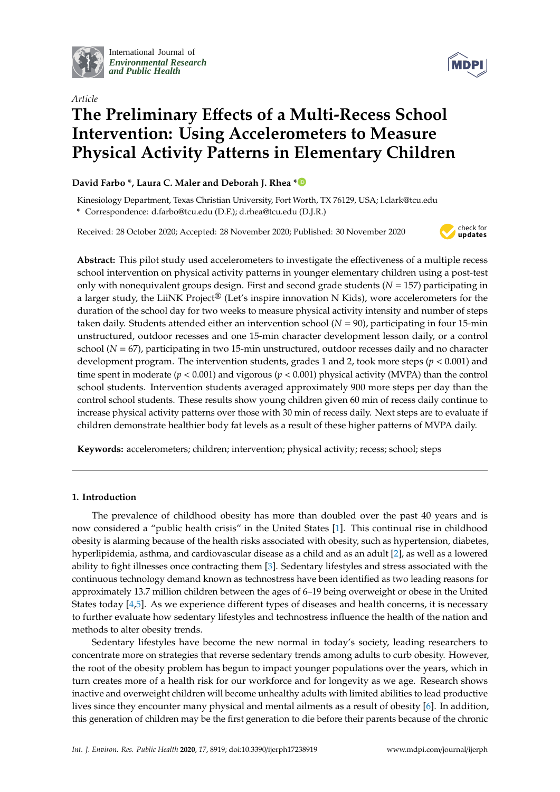

International Journal of *[Environmental Research](http://www.mdpi.com/journal/ijerph) and Public Health*



# *Article* **The Preliminary E**ff**ects of a Multi-Recess School Intervention: Using Accelerometers to Measure Physical Activity Patterns in Elementary Children**

## **David Farbo \*, Laura C. Maler and Deborah J. Rhea [\\*](https://orcid.org/0000-0002-2054-000X)**

Kinesiology Department, Texas Christian University, Fort Worth, TX 76129, USA; l.clark@tcu.edu **\*** Correspondence: d.farbo@tcu.edu (D.F.); d.rhea@tcu.edu (D.J.R.)

Received: 28 October 2020; Accepted: 28 November 2020; Published: 30 November 2020



**Abstract:** This pilot study used accelerometers to investigate the effectiveness of a multiple recess school intervention on physical activity patterns in younger elementary children using a post-test only with nonequivalent groups design. First and second grade students (*N* = 157) participating in a larger study, the LiiNK Project® (Let's inspire innovation N Kids), wore accelerometers for the duration of the school day for two weeks to measure physical activity intensity and number of steps taken daily. Students attended either an intervention school (*N* = 90), participating in four 15-min unstructured, outdoor recesses and one 15-min character development lesson daily, or a control school (*N* = 67), participating in two 15-min unstructured, outdoor recesses daily and no character development program. The intervention students, grades 1 and 2, took more steps (*p* < 0.001) and time spent in moderate (*p* < 0.001) and vigorous (*p* < 0.001) physical activity (MVPA) than the control school students. Intervention students averaged approximately 900 more steps per day than the control school students. These results show young children given 60 min of recess daily continue to increase physical activity patterns over those with 30 min of recess daily. Next steps are to evaluate if children demonstrate healthier body fat levels as a result of these higher patterns of MVPA daily.

**Keywords:** accelerometers; children; intervention; physical activity; recess; school; steps

## **1. Introduction**

The prevalence of childhood obesity has more than doubled over the past 40 years and is now considered a "public health crisis" in the United States [\[1\]](#page-14-0). This continual rise in childhood obesity is alarming because of the health risks associated with obesity, such as hypertension, diabetes, hyperlipidemia, asthma, and cardiovascular disease as a child and as an adult [\[2\]](#page-14-1), as well as a lowered ability to fight illnesses once contracting them [\[3\]](#page-14-2). Sedentary lifestyles and stress associated with the continuous technology demand known as technostress have been identified as two leading reasons for approximately 13.7 million children between the ages of 6–19 being overweight or obese in the United States today [\[4](#page-14-3)[,5\]](#page-14-4). As we experience different types of diseases and health concerns, it is necessary to further evaluate how sedentary lifestyles and technostress influence the health of the nation and methods to alter obesity trends.

Sedentary lifestyles have become the new normal in today's society, leading researchers to concentrate more on strategies that reverse sedentary trends among adults to curb obesity. However, the root of the obesity problem has begun to impact younger populations over the years, which in turn creates more of a health risk for our workforce and for longevity as we age. Research shows inactive and overweight children will become unhealthy adults with limited abilities to lead productive lives since they encounter many physical and mental ailments as a result of obesity [\[6\]](#page-14-5). In addition, this generation of children may be the first generation to die before their parents because of the chronic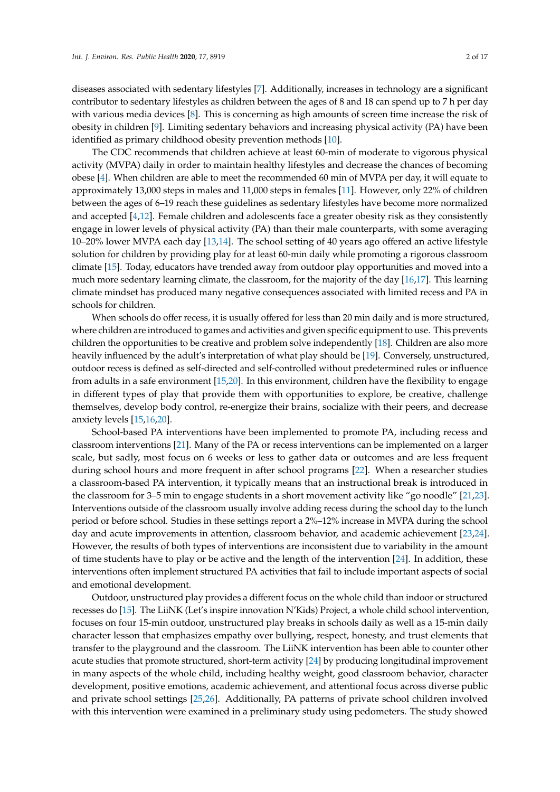diseases associated with sedentary lifestyles [\[7\]](#page-14-6). Additionally, increases in technology are a significant contributor to sedentary lifestyles as children between the ages of 8 and 18 can spend up to 7 h per day with various media devices [\[8\]](#page-14-7). This is concerning as high amounts of screen time increase the risk of obesity in children [\[9\]](#page-14-8). Limiting sedentary behaviors and increasing physical activity (PA) have been identified as primary childhood obesity prevention methods [\[10\]](#page-14-9).

The CDC recommends that children achieve at least 60-min of moderate to vigorous physical activity (MVPA) daily in order to maintain healthy lifestyles and decrease the chances of becoming obese [\[4\]](#page-14-3). When children are able to meet the recommended 60 min of MVPA per day, it will equate to approximately 13,000 steps in males and 11,000 steps in females [\[11\]](#page-14-10). However, only 22% of children between the ages of 6–19 reach these guidelines as sedentary lifestyles have become more normalized and accepted [\[4](#page-14-3)[,12\]](#page-14-11). Female children and adolescents face a greater obesity risk as they consistently engage in lower levels of physical activity (PA) than their male counterparts, with some averaging 10–20% lower MVPA each day [\[13](#page-14-12)[,14\]](#page-14-13). The school setting of 40 years ago offered an active lifestyle solution for children by providing play for at least 60-min daily while promoting a rigorous classroom climate [\[15\]](#page-14-14). Today, educators have trended away from outdoor play opportunities and moved into a much more sedentary learning climate, the classroom, for the majority of the day [\[16,](#page-14-15)[17\]](#page-14-16). This learning climate mindset has produced many negative consequences associated with limited recess and PA in schools for children.

When schools do offer recess, it is usually offered for less than 20 min daily and is more structured, where children are introduced to games and activities and given specific equipment to use. This prevents children the opportunities to be creative and problem solve independently [\[18\]](#page-14-17). Children are also more heavily influenced by the adult's interpretation of what play should be [\[19\]](#page-14-18). Conversely, unstructured, outdoor recess is defined as self-directed and self-controlled without predetermined rules or influence from adults in a safe environment [\[15](#page-14-14)[,20\]](#page-14-19). In this environment, children have the flexibility to engage in different types of play that provide them with opportunities to explore, be creative, challenge themselves, develop body control, re-energize their brains, socialize with their peers, and decrease anxiety levels [\[15](#page-14-14)[,16](#page-14-15)[,20\]](#page-14-19).

School-based PA interventions have been implemented to promote PA, including recess and classroom interventions [\[21\]](#page-14-20). Many of the PA or recess interventions can be implemented on a larger scale, but sadly, most focus on 6 weeks or less to gather data or outcomes and are less frequent during school hours and more frequent in after school programs [\[22\]](#page-15-0). When a researcher studies a classroom-based PA intervention, it typically means that an instructional break is introduced in the classroom for 3–5 min to engage students in a short movement activity like "go noodle" [\[21,](#page-14-20)[23\]](#page-15-1). Interventions outside of the classroom usually involve adding recess during the school day to the lunch period or before school. Studies in these settings report a 2%–12% increase in MVPA during the school day and acute improvements in attention, classroom behavior, and academic achievement [\[23,](#page-15-1)[24\]](#page-15-2). However, the results of both types of interventions are inconsistent due to variability in the amount of time students have to play or be active and the length of the intervention [\[24\]](#page-15-2). In addition, these interventions often implement structured PA activities that fail to include important aspects of social and emotional development.

Outdoor, unstructured play provides a different focus on the whole child than indoor or structured recesses do [\[15\]](#page-14-14). The LiiNK (Let's inspire innovation N'Kids) Project, a whole child school intervention, focuses on four 15-min outdoor, unstructured play breaks in schools daily as well as a 15-min daily character lesson that emphasizes empathy over bullying, respect, honesty, and trust elements that transfer to the playground and the classroom. The LiiNK intervention has been able to counter other acute studies that promote structured, short-term activity [\[24\]](#page-15-2) by producing longitudinal improvement in many aspects of the whole child, including healthy weight, good classroom behavior, character development, positive emotions, academic achievement, and attentional focus across diverse public and private school settings [\[25,](#page-15-3)[26\]](#page-15-4). Additionally, PA patterns of private school children involved with this intervention were examined in a preliminary study using pedometers. The study showed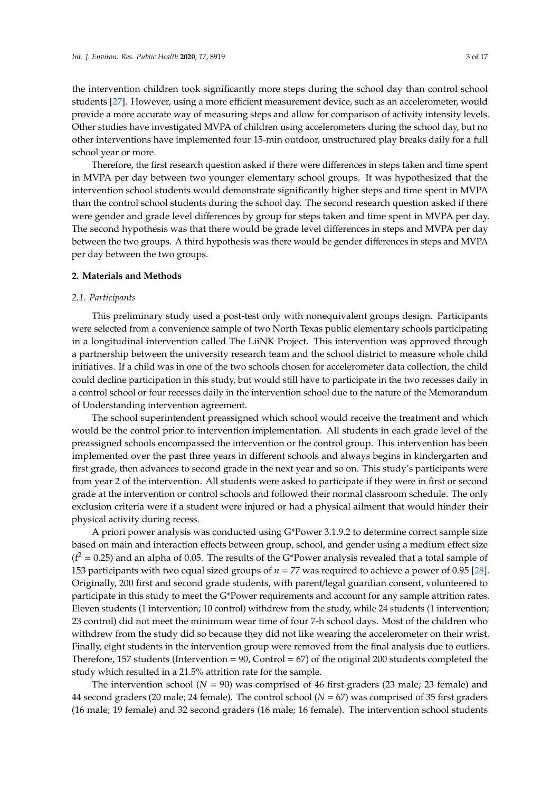the intervention children took significantly more steps during the school day than control school students [\[27\]](#page-15-5). However, using a more efficient measurement device, such as an accelerometer, would provide a more accurate way of measuring steps and allow for comparison of activity intensity levels. Other studies have investigated MVPA of children using accelerometers during the school day, but no other interventions have implemented four 15-min outdoor, unstructured play breaks daily for a full school year or more.

Therefore, the first research question asked if there were differences in steps taken and time spent in MVPA per day between two younger elementary school groups. It was hypothesized that the intervention school students would demonstrate significantly higher steps and time spent in MVPA than the control school students during the school day. The second research question asked if there were gender and grade level differences by group for steps taken and time spent in MVPA per day. The second hypothesis was that there would be grade level differences in steps and MVPA per day between the two groups. A third hypothesis was there would be gender differences in steps and MVPA per day between the two groups.

#### **2. Materials and Methods**

#### *2.1. Participants*

This preliminary study used a post-test only with nonequivalent groups design. Participants were selected from a convenience sample of two North Texas public elementary schools participating in a longitudinal intervention called The LiiNK Project. This intervention was approved through a partnership between the university research team and the school district to measure whole child initiatives. If a child was in one of the two schools chosen for accelerometer data collection, the child could decline participation in this study, but would still have to participate in the two recesses daily in a control school or four recesses daily in the intervention school due to the nature of the Memorandum of Understanding intervention agreement.

The school superintendent preassigned which school would receive the treatment and which would be the control prior to intervention implementation. All students in each grade level of the preassigned schools encompassed the intervention or the control group. This intervention has been implemented over the past three years in different schools and always begins in kindergarten and first grade, then advances to second grade in the next year and so on. This study's participants were from year 2 of the intervention. All students were asked to participate if they were in first or second grade at the intervention or control schools and followed their normal classroom schedule. The only exclusion criteria were if a student were injured or had a physical ailment that would hinder their physical activity during recess.

A priori power analysis was conducted using G\*Power 3.1.9.2 to determine correct sample size based on main and interaction effects between group, school, and gender using a medium effect size  $(f^2 = 0.25)$  and an alpha of 0.05. The results of the G\*Power analysis revealed that a total sample of 153 participants with two equal sized groups of *n* = 77 was required to achieve a power of 0.95 [\[28\]](#page-15-6). Originally, 200 first and second grade students, with parent/legal guardian consent, volunteered to participate in this study to meet the G\*Power requirements and account for any sample attrition rates. Eleven students (1 intervention; 10 control) withdrew from the study, while 24 students (1 intervention; 23 control) did not meet the minimum wear time of four 7-h school days. Most of the children who withdrew from the study did so because they did not like wearing the accelerometer on their wrist. Finally, eight students in the intervention group were removed from the final analysis due to outliers. Therefore, 157 students (Intervention  $= 90$ , Control  $= 67$ ) of the original 200 students completed the study which resulted in a 21.5% attrition rate for the sample.

The intervention school ( $N = 90$ ) was comprised of 46 first graders (23 male; 23 female) and 44 second graders (20 male; 24 female). The control school (*N* = 67) was comprised of 35 first graders (16 male; 19 female) and 32 second graders (16 male; 16 female). The intervention school students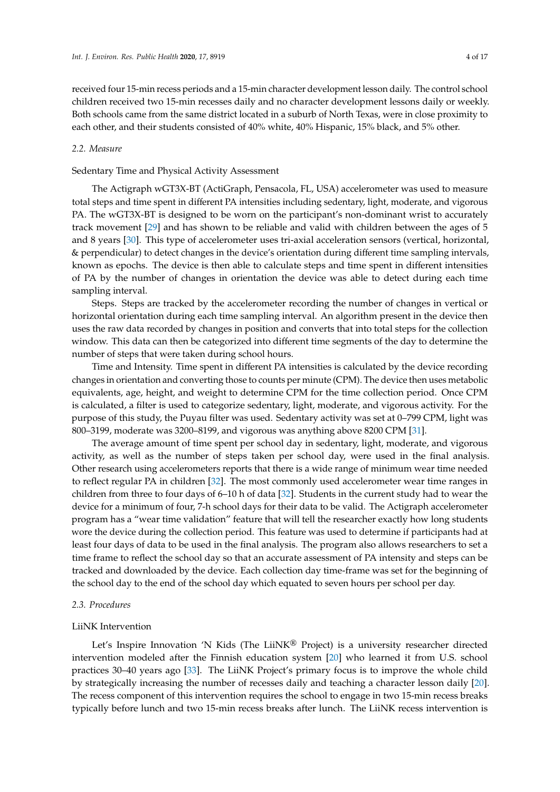received four 15-min recess periods and a 15-min character development lesson daily. The control school children received two 15-min recesses daily and no character development lessons daily or weekly. Both schools came from the same district located in a suburb of North Texas, were in close proximity to each other, and their students consisted of 40% white, 40% Hispanic, 15% black, and 5% other.

### *2.2. Measure*

### Sedentary Time and Physical Activity Assessment

The Actigraph wGT3X-BT (ActiGraph, Pensacola, FL, USA) accelerometer was used to measure total steps and time spent in different PA intensities including sedentary, light, moderate, and vigorous PA. The wGT3X-BT is designed to be worn on the participant's non-dominant wrist to accurately track movement [\[29\]](#page-15-7) and has shown to be reliable and valid with children between the ages of 5 and 8 years [\[30\]](#page-15-8). This type of accelerometer uses tri-axial acceleration sensors (vertical, horizontal, & perpendicular) to detect changes in the device's orientation during different time sampling intervals, known as epochs. The device is then able to calculate steps and time spent in different intensities of PA by the number of changes in orientation the device was able to detect during each time sampling interval.

Steps. Steps are tracked by the accelerometer recording the number of changes in vertical or horizontal orientation during each time sampling interval. An algorithm present in the device then uses the raw data recorded by changes in position and converts that into total steps for the collection window. This data can then be categorized into different time segments of the day to determine the number of steps that were taken during school hours.

Time and Intensity. Time spent in different PA intensities is calculated by the device recording changes in orientation and converting those to counts per minute (CPM). The device then uses metabolic equivalents, age, height, and weight to determine CPM for the time collection period. Once CPM is calculated, a filter is used to categorize sedentary, light, moderate, and vigorous activity. For the purpose of this study, the Puyau filter was used. Sedentary activity was set at 0–799 CPM, light was 800–3199, moderate was 3200–8199, and vigorous was anything above 8200 CPM [\[31\]](#page-15-9).

The average amount of time spent per school day in sedentary, light, moderate, and vigorous activity, as well as the number of steps taken per school day, were used in the final analysis. Other research using accelerometers reports that there is a wide range of minimum wear time needed to reflect regular PA in children [\[32\]](#page-15-10). The most commonly used accelerometer wear time ranges in children from three to four days of 6–10 h of data [\[32\]](#page-15-10). Students in the current study had to wear the device for a minimum of four, 7-h school days for their data to be valid. The Actigraph accelerometer program has a "wear time validation" feature that will tell the researcher exactly how long students wore the device during the collection period. This feature was used to determine if participants had at least four days of data to be used in the final analysis. The program also allows researchers to set a time frame to reflect the school day so that an accurate assessment of PA intensity and steps can be tracked and downloaded by the device. Each collection day time-frame was set for the beginning of the school day to the end of the school day which equated to seven hours per school per day.

#### *2.3. Procedures*

#### LiiNK Intervention

Let's Inspire Innovation 'N Kids (The LiiNK® Project) is a university researcher directed intervention modeled after the Finnish education system [\[20\]](#page-14-19) who learned it from U.S. school practices 30–40 years ago [\[33\]](#page-15-11). The LiiNK Project's primary focus is to improve the whole child by strategically increasing the number of recesses daily and teaching a character lesson daily [\[20\]](#page-14-19). The recess component of this intervention requires the school to engage in two 15-min recess breaks typically before lunch and two 15-min recess breaks after lunch. The LiiNK recess intervention is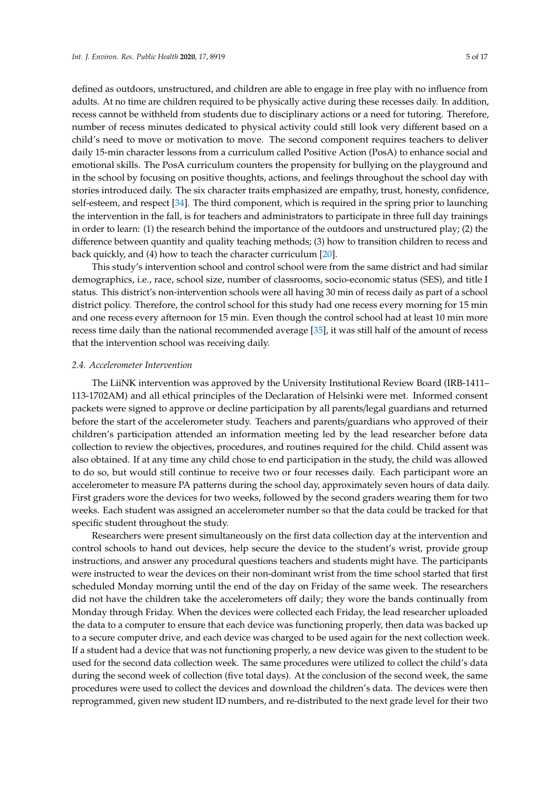defined as outdoors, unstructured, and children are able to engage in free play with no influence from adults. At no time are children required to be physically active during these recesses daily. In addition, recess cannot be withheld from students due to disciplinary actions or a need for tutoring. Therefore, number of recess minutes dedicated to physical activity could still look very different based on a child's need to move or motivation to move. The second component requires teachers to deliver daily 15-min character lessons from a curriculum called Positive Action (PosA) to enhance social and emotional skills. The PosA curriculum counters the propensity for bullying on the playground and in the school by focusing on positive thoughts, actions, and feelings throughout the school day with stories introduced daily. The six character traits emphasized are empathy, trust, honesty, confidence, self-esteem, and respect [\[34\]](#page-15-12). The third component, which is required in the spring prior to launching the intervention in the fall, is for teachers and administrators to participate in three full day trainings in order to learn: (1) the research behind the importance of the outdoors and unstructured play; (2) the difference between quantity and quality teaching methods; (3) how to transition children to recess and back quickly, and (4) how to teach the character curriculum [\[20\]](#page-14-19).

This study's intervention school and control school were from the same district and had similar demographics, i.e., race, school size, number of classrooms, socio-economic status (SES), and title I status. This district's non-intervention schools were all having 30 min of recess daily as part of a school district policy. Therefore, the control school for this study had one recess every morning for 15 min and one recess every afternoon for 15 min. Even though the control school had at least 10 min more recess time daily than the national recommended average [\[35\]](#page-15-13), it was still half of the amount of recess that the intervention school was receiving daily.

#### *2.4. Accelerometer Intervention*

The LiiNK intervention was approved by the University Institutional Review Board (IRB-1411– 113-1702AM) and all ethical principles of the Declaration of Helsinki were met. Informed consent packets were signed to approve or decline participation by all parents/legal guardians and returned before the start of the accelerometer study. Teachers and parents/guardians who approved of their children's participation attended an information meeting led by the lead researcher before data collection to review the objectives, procedures, and routines required for the child. Child assent was also obtained. If at any time any child chose to end participation in the study, the child was allowed to do so, but would still continue to receive two or four recesses daily. Each participant wore an accelerometer to measure PA patterns during the school day, approximately seven hours of data daily. First graders wore the devices for two weeks, followed by the second graders wearing them for two weeks. Each student was assigned an accelerometer number so that the data could be tracked for that specific student throughout the study.

Researchers were present simultaneously on the first data collection day at the intervention and control schools to hand out devices, help secure the device to the student's wrist, provide group instructions, and answer any procedural questions teachers and students might have. The participants were instructed to wear the devices on their non-dominant wrist from the time school started that first scheduled Monday morning until the end of the day on Friday of the same week. The researchers did not have the children take the accelerometers off daily; they wore the bands continually from Monday through Friday. When the devices were collected each Friday, the lead researcher uploaded the data to a computer to ensure that each device was functioning properly, then data was backed up to a secure computer drive, and each device was charged to be used again for the next collection week. If a student had a device that was not functioning properly, a new device was given to the student to be used for the second data collection week. The same procedures were utilized to collect the child's data during the second week of collection (five total days). At the conclusion of the second week, the same procedures were used to collect the devices and download the children's data. The devices were then reprogrammed, given new student ID numbers, and re-distributed to the next grade level for their two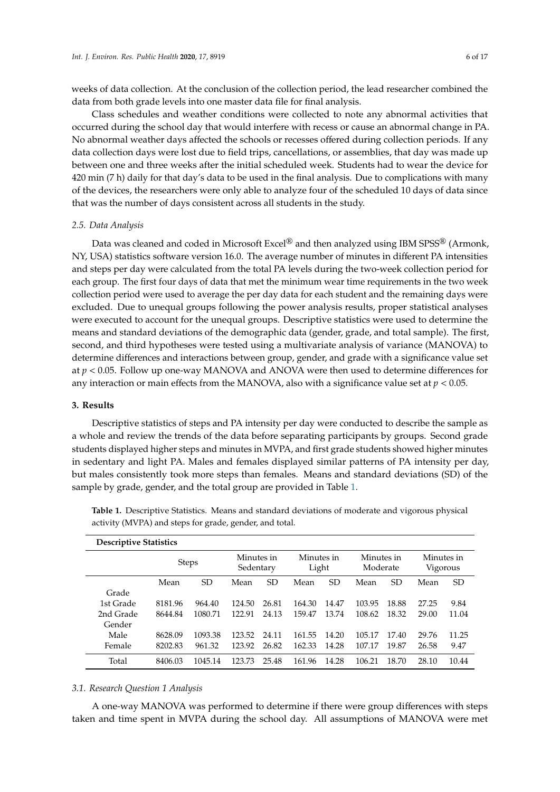weeks of data collection. At the conclusion of the collection period, the lead researcher combined the data from both grade levels into one master data file for final analysis.

Class schedules and weather conditions were collected to note any abnormal activities that occurred during the school day that would interfere with recess or cause an abnormal change in PA. No abnormal weather days affected the schools or recesses offered during collection periods. If any data collection days were lost due to field trips, cancellations, or assemblies, that day was made up between one and three weeks after the initial scheduled week. Students had to wear the device for 420 min (7 h) daily for that day's data to be used in the final analysis. Due to complications with many of the devices, the researchers were only able to analyze four of the scheduled 10 days of data since that was the number of days consistent across all students in the study.

#### *2.5. Data Analysis*

Data was cleaned and coded in Microsoft Excel® and then analyzed using IBM SPSS® (Armonk, NY, USA) statistics software version 16.0. The average number of minutes in different PA intensities and steps per day were calculated from the total PA levels during the two-week collection period for each group. The first four days of data that met the minimum wear time requirements in the two week collection period were used to average the per day data for each student and the remaining days were excluded. Due to unequal groups following the power analysis results, proper statistical analyses were executed to account for the unequal groups. Descriptive statistics were used to determine the means and standard deviations of the demographic data (gender, grade, and total sample). The first, second, and third hypotheses were tested using a multivariate analysis of variance (MANOVA) to determine differences and interactions between group, gender, and grade with a significance value set at *p* < 0.05. Follow up one-way MANOVA and ANOVA were then used to determine differences for any interaction or main effects from the MANOVA, also with a significance value set at *p* < 0.05.

### **3. Results**

Descriptive statistics of steps and PA intensity per day were conducted to describe the sample as a whole and review the trends of the data before separating participants by groups. Second grade students displayed higher steps and minutes in MVPA, and first grade students showed higher minutes in sedentary and light PA. Males and females displayed similar patterns of PA intensity per day, but males consistently took more steps than females. Means and standard deviations (SD) of the sample by grade, gender, and the total group are provided in Table [1.](#page-5-0)

| <b>Descriptive Statistics</b> |              |           |                         |       |                     |       |                        |           |                        |       |
|-------------------------------|--------------|-----------|-------------------------|-------|---------------------|-------|------------------------|-----------|------------------------|-------|
|                               | <b>Steps</b> |           | Minutes in<br>Sedentary |       | Minutes in<br>Light |       | Minutes in<br>Moderate |           | Minutes in<br>Vigorous |       |
|                               | Mean         | <b>SD</b> | Mean                    | SD    | Mean                | SD    | Mean                   | <b>SD</b> | Mean                   | SD    |
| Grade                         |              |           |                         |       |                     |       |                        |           |                        |       |
| 1st Grade                     | 8181.96      | 964.40    | 124.50                  | 26.81 | 164.30              | 14.47 | 103.95                 | 18.88     | 27.25                  | 9.84  |
| 2nd Grade                     | 8644.84      | 1080.71   | 122.91                  | 24.13 | 159.47              | 13.74 | 108.62                 | 18.32     | 29.00                  | 11.04 |
| Gender                        |              |           |                         |       |                     |       |                        |           |                        |       |
| Male                          | 8628.09      | 1093.38   | 123.52                  | 24.11 | 161.55              | 14.20 | 105.17                 | 17.40     | 29.76                  | 11.25 |
| Female                        | 8202.83      | 961.32    | 123.92                  | 26.82 | 162.33              | 14.28 | 107.17                 | 19.87     | 26.58                  | 9.47  |
| Total                         | 8406.03      | 1045.14   | 123.73                  | 25.48 | 161.96              | 14.28 | 106.21                 | 18.70     | 28.10                  | 10.44 |

<span id="page-5-0"></span>**Table 1.** Descriptive Statistics. Means and standard deviations of moderate and vigorous physical activity (MVPA) and steps for grade, gender, and total.

#### *3.1. Research Question 1 Analysis*

A one-way MANOVA was performed to determine if there were group differences with steps taken and time spent in MVPA during the school day. All assumptions of MANOVA were met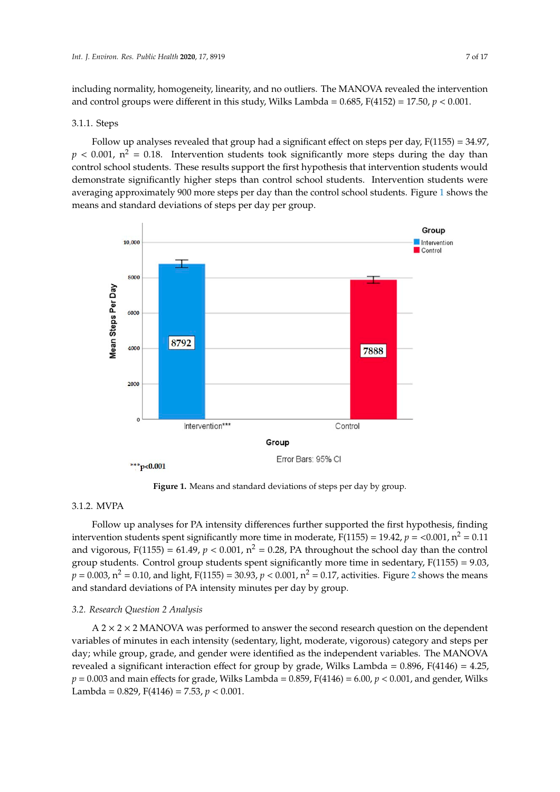including normality, homogeneity, linearity, and no outliers. The MANOVA revealed the intervention and control groups were different in this study, Wilks Lambda =  $0.685$ , F(4152) = 17.50,  $p < 0.001$ .

#### 3.1.1. Steps

Follow up analyses revealed that group had a significant effect on steps per day,  $F(1155) = 34.97$ ,  $p < 0.001$ ,  $n^2 = 0.18$ . Intervention students took significantly more steps during the day than control school students. These results support the first hypothesis that intervention students would demonstrate significantly higher steps than control school students. Intervention students were averaging approximately 900 more steps per day than the control school students. Figure [1](#page-6-0) shows the means and standard deviations of steps per day per group.

<span id="page-6-0"></span>

**Figure 1.** Means and standard deviations of steps per day by group.

## 3.1.2. MVPA

Follow up analyses for PA intensity differences further supported the first hypothesis, finding intervention students spent significantly more time in moderate,  $F(1155) = 19.42$ ,  $p = 0.001$ ,  $n^2 = 0.11$ and vigorous,  $F(1155) = 61.49$ ,  $p < 0.001$ ,  $n^2 = 0.28$ , PA throughout the school day than the control group students. Control group students spent significantly more time in sedentary,  $F(1155) = 9.03$ ,  $p = 0.003$ ,  $n^2 = 0.10$  $n^2 = 0.10$  $n^2 = 0.10$ , and light,  $F(1155) = 30.93$ ,  $p < 0.001$ ,  $n^2 = 0.17$ , activities. Figure 2 shows the means and standard deviations of PA intensity minutes per day by group.

#### *3.2. Research Question 2 Analysis*

 $A$  2  $\times$  2  $\times$  2 MANOVA was performed to answer the second research question on the dependent variables of minutes in each intensity (sedentary, light, moderate, vigorous) category and steps per day; while group, grade, and gender were identified as the independent variables. The MANOVA revealed a significant interaction effect for group by grade, Wilks Lambda = 0.896, F(4146) = 4.25,  $p = 0.003$  and main effects for grade, Wilks Lambda = 0.859, F(4146) = 6.00,  $p < 0.001$ , and gender, Wilks Lambda = 0.829, F(4146) = 7.53, *p* < 0.001.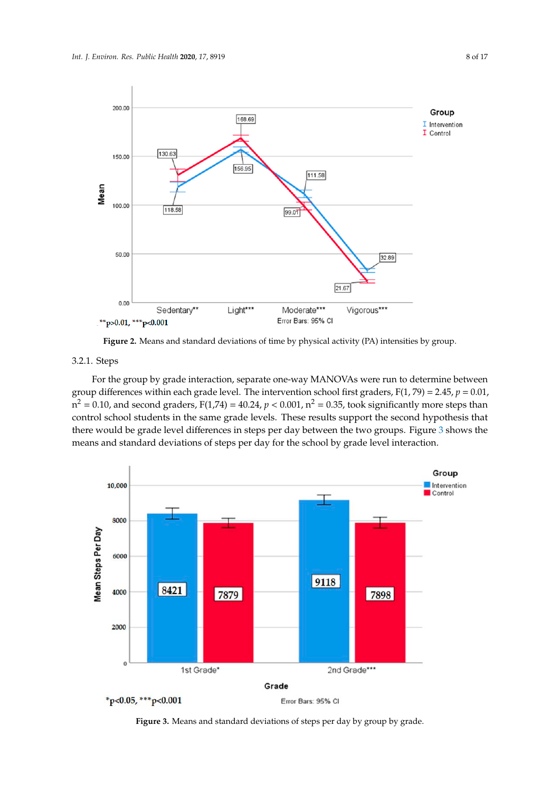<span id="page-7-0"></span>

**Figure 2. Activity (PA) intensities by physical activity (PA) intensities by group. Figure 2.** Means and standard deviations of time by physical activity (PA) intensities by group.

#### 3.2.1. Steps

*3.2. Research Question 2 Analysis*  group differences within each grade level. The intervention school first graders,  $F(1, 79) = 2.45$ ,  $p = 0.01$ ,  $m^2 = 0.10$ , and second graders, F(1,74) = 40.24, *p* < 0.001,  $n^2 = 0.35$ , took significantly more steps than control school students in the same grade levels. These results support the second hypothesis that there would be grade level differences in steps per day between the two groups. Figure [3](#page-7-1) shows the 0.003 and main effects for grade, Wilks Lambda = 0.859, F(4146) = 0.859, F(4146) = 6.0001, and general general general general general general general general general general general general general general general general means and standard deviations of steps per day for the school by grade level interaction. For the group by grade interaction, separate one-way MANOVAs were run to determine between

<span id="page-7-1"></span>

**Figure 3.** Means and standard deviations of steps per day by group by grade.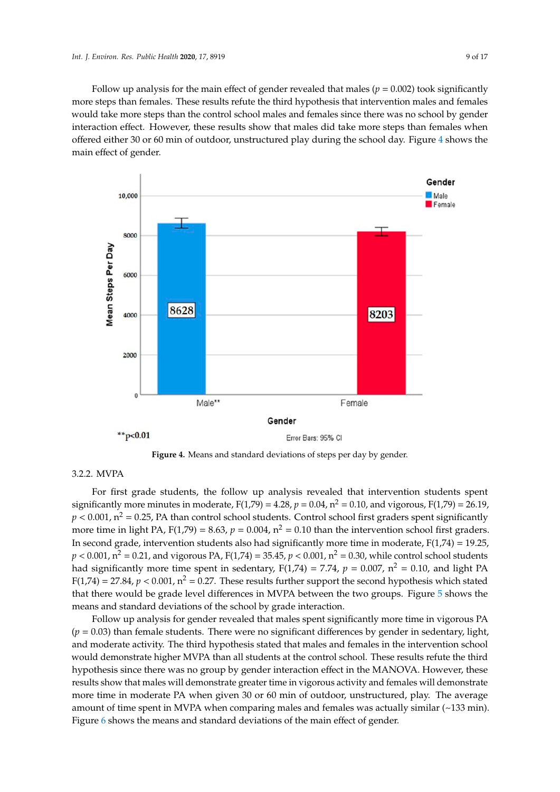Follow up analysis for the main effect of gender revealed that males ( $p = 0.002$ ) took significantly more steps than females. These results refute the third hypothesis that intervention males and females would take more steps than the control school males and females since there was no school by gender interaction effect. However, these results show that males did take more steps than females when offered either 30 or 60 min of outdoor, unstructured play during the school day. Figure [4](#page-8-0) shows the main effect of gender.

<span id="page-8-0"></span>



#### $T_{\rm eff}$  $C.2.2.$  IN TITT 3.2.2. MVPA

For first grade students, the follow up analysis revealed that intervention students spent For first grade students, the follow up analysis revealed that intervention students spent significantly more minutes in moderate,  $F(1,79) = 4.28$ ,  $p = 0.04$ ,  $n^2 = 0.10$ , and vigorous,  $F(1,79) = 26.19$ ,  $p < 0.001$ ,  $n^2 = 0.25$ , PA than control school students. Control school first graders spent significantly more time in light PA,  $F(1,79) = 8.63$ ,  $p = 0.004$ ,  $n^2 = 0.10$  than the intervention school first graders. In second grade, intervention students also had significantly more time in moderate,  $F(1,74) = 19.25$ ,  $p < 0.001$ ,  $n^2 = 0.21$ , and vigorous PA,  $F(1,74) = 35.45$ ,  $p < 0.001$ ,  $n^2 = 0.30$ , while control school students had significantly more time spent in sedentary,  $F(1,74) = 7.74$ ,  $p = 0.007$ ,  $n^2 = 0.10$ , and light PA  $F(1,74) = 27.84$ ,  $p < 0.001$ ,  $n^2 = 0.27$ . These results further support the second hypothesis which stated that there would be grade level differences in MVPA between the two groups. Figure [5](#page-9-0) shows the means and standard deviations of the school by grade interaction.

Follow up analysis for gender revealed that males spent significantly more time in vigorous PA  $(p = 0.03)$  than female students. There were no significant differences by gender in sedentary, light, and moderate activity. The third hypothesis stated that males and females in the intervention school would demonstrate higher MVPA than all students at the control school. These results refute the third hypothesis since there was no group by gender interaction effect in the MANOVA. However, these results show that males will demonstrate greater time in vigorous activity and females will demonstrate more time in moderate PA when given 30 or 60 min of outdoor, unstructured, play. The average amount of time spent in MVPA when comparing males and females was actually similar  $(\sim 133 \text{ min})$ . Figure [6](#page-9-1) shows the means and standard deviations of the main effect of gender.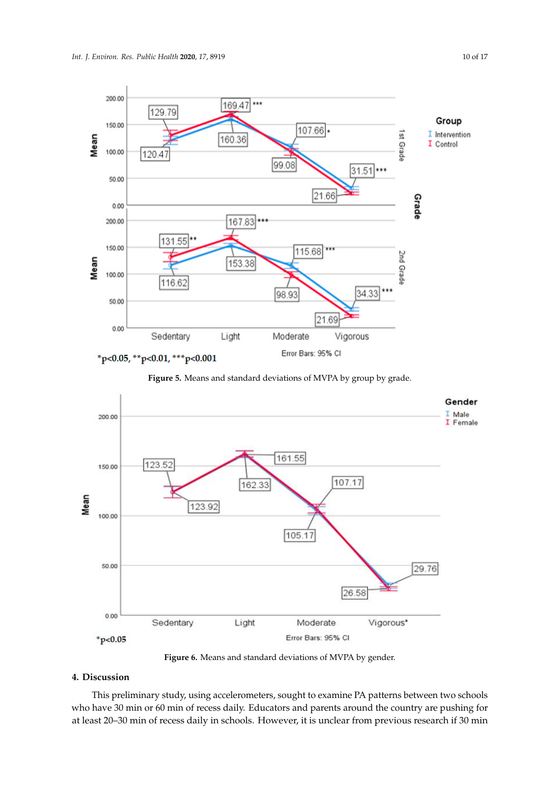<span id="page-9-0"></span>

Figure 5. Means and standard deviations of MVPA by group by grade.

<span id="page-9-1"></span>



## **4. Discussion**

**4. Discussion**  This preliminary study, using accelerometers, sought to examine PA patterns between two schools who have 30 min or 60 min of recess daily. Educators and parents around the country are pushing for at least 20–30 min of recess daily in schools. However, it is unclear from previous research if 30 min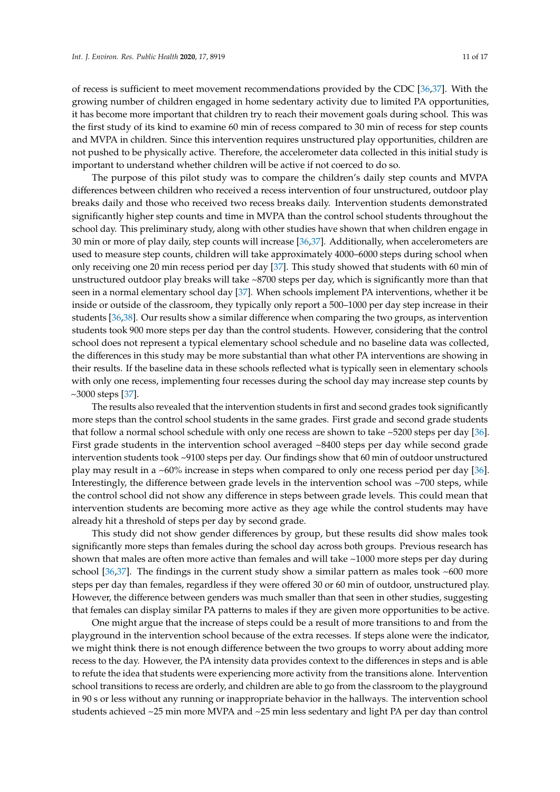of recess is sufficient to meet movement recommendations provided by the CDC [\[36,](#page-15-14)[37\]](#page-15-15). With the growing number of children engaged in home sedentary activity due to limited PA opportunities, it has become more important that children try to reach their movement goals during school. This was the first study of its kind to examine 60 min of recess compared to 30 min of recess for step counts and MVPA in children. Since this intervention requires unstructured play opportunities, children are not pushed to be physically active. Therefore, the accelerometer data collected in this initial study is important to understand whether children will be active if not coerced to do so.

The purpose of this pilot study was to compare the children's daily step counts and MVPA differences between children who received a recess intervention of four unstructured, outdoor play breaks daily and those who received two recess breaks daily. Intervention students demonstrated significantly higher step counts and time in MVPA than the control school students throughout the school day. This preliminary study, along with other studies have shown that when children engage in 30 min or more of play daily, step counts will increase [\[36](#page-15-14)[,37\]](#page-15-15). Additionally, when accelerometers are used to measure step counts, children will take approximately 4000–6000 steps during school when only receiving one 20 min recess period per day [\[37\]](#page-15-15). This study showed that students with 60 min of unstructured outdoor play breaks will take ~8700 steps per day, which is significantly more than that seen in a normal elementary school day [\[37\]](#page-15-15). When schools implement PA interventions, whether it be inside or outside of the classroom, they typically only report a 500–1000 per day step increase in their students [\[36,](#page-15-14)[38\]](#page-15-16). Our results show a similar difference when comparing the two groups, as intervention students took 900 more steps per day than the control students. However, considering that the control school does not represent a typical elementary school schedule and no baseline data was collected, the differences in this study may be more substantial than what other PA interventions are showing in their results. If the baseline data in these schools reflected what is typically seen in elementary schools with only one recess, implementing four recesses during the school day may increase step counts by ~3000 steps [\[37\]](#page-15-15).

The results also revealed that the intervention students in first and second grades took significantly more steps than the control school students in the same grades. First grade and second grade students that follow a normal school schedule with only one recess are shown to take ~5200 steps per day [\[36\]](#page-15-14). First grade students in the intervention school averaged ~8400 steps per day while second grade intervention students took ~9100 steps per day. Our findings show that 60 min of outdoor unstructured play may result in a ~60% increase in steps when compared to only one recess period per day [\[36\]](#page-15-14). Interestingly, the difference between grade levels in the intervention school was ~700 steps, while the control school did not show any difference in steps between grade levels. This could mean that intervention students are becoming more active as they age while the control students may have already hit a threshold of steps per day by second grade.

This study did not show gender differences by group, but these results did show males took significantly more steps than females during the school day across both groups. Previous research has shown that males are often more active than females and will take ~1000 more steps per day during school  $[36,37]$  $[36,37]$ . The findings in the current study show a similar pattern as males took  $\sim 600$  more steps per day than females, regardless if they were offered 30 or 60 min of outdoor, unstructured play. However, the difference between genders was much smaller than that seen in other studies, suggesting that females can display similar PA patterns to males if they are given more opportunities to be active.

One might argue that the increase of steps could be a result of more transitions to and from the playground in the intervention school because of the extra recesses. If steps alone were the indicator, we might think there is not enough difference between the two groups to worry about adding more recess to the day. However, the PA intensity data provides context to the differences in steps and is able to refute the idea that students were experiencing more activity from the transitions alone. Intervention school transitions to recess are orderly, and children are able to go from the classroom to the playground in 90 s or less without any running or inappropriate behavior in the hallways. The intervention school students achieved ~25 min more MVPA and ~25 min less sedentary and light PA per day than control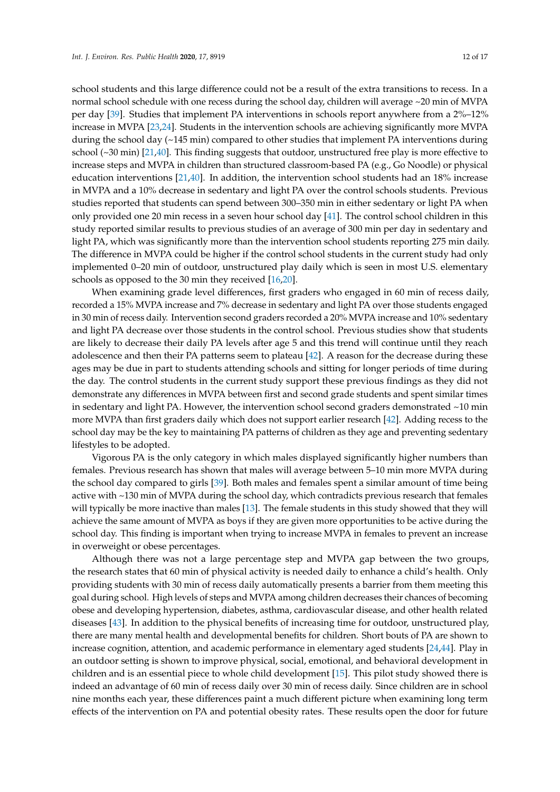school students and this large difference could not be a result of the extra transitions to recess. In a normal school schedule with one recess during the school day, children will average ~20 min of MVPA per day [\[39\]](#page-15-17). Studies that implement PA interventions in schools report anywhere from a 2%–12% increase in MVPA [\[23,](#page-15-1)[24\]](#page-15-2). Students in the intervention schools are achieving significantly more MVPA during the school day (~145 min) compared to other studies that implement PA interventions during school (~30 min) [\[21,](#page-14-20)[40\]](#page-15-18). This finding suggests that outdoor, unstructured free play is more effective to increase steps and MVPA in children than structured classroom-based PA (e.g., Go Noodle) or physical education interventions [\[21](#page-14-20)[,40\]](#page-15-18). In addition, the intervention school students had an 18% increase in MVPA and a 10% decrease in sedentary and light PA over the control schools students. Previous studies reported that students can spend between 300–350 min in either sedentary or light PA when only provided one 20 min recess in a seven hour school day [\[41\]](#page-15-19). The control school children in this study reported similar results to previous studies of an average of 300 min per day in sedentary and light PA, which was significantly more than the intervention school students reporting 275 min daily. The difference in MVPA could be higher if the control school students in the current study had only implemented 0–20 min of outdoor, unstructured play daily which is seen in most U.S. elementary schools as opposed to the 30 min they received [\[16](#page-14-15)[,20\]](#page-14-19).

When examining grade level differences, first graders who engaged in 60 min of recess daily, recorded a 15% MVPA increase and 7% decrease in sedentary and light PA over those students engaged in 30 min of recess daily. Intervention second graders recorded a 20% MVPA increase and 10% sedentary and light PA decrease over those students in the control school. Previous studies show that students are likely to decrease their daily PA levels after age 5 and this trend will continue until they reach adolescence and then their PA patterns seem to plateau [\[42\]](#page-15-20). A reason for the decrease during these ages may be due in part to students attending schools and sitting for longer periods of time during the day. The control students in the current study support these previous findings as they did not demonstrate any differences in MVPA between first and second grade students and spent similar times in sedentary and light PA. However, the intervention school second graders demonstrated  $\sim$ 10 min more MVPA than first graders daily which does not support earlier research [\[42\]](#page-15-20). Adding recess to the school day may be the key to maintaining PA patterns of children as they age and preventing sedentary lifestyles to be adopted.

Vigorous PA is the only category in which males displayed significantly higher numbers than females. Previous research has shown that males will average between 5–10 min more MVPA during the school day compared to girls [\[39\]](#page-15-17). Both males and females spent a similar amount of time being active with ~130 min of MVPA during the school day, which contradicts previous research that females will typically be more inactive than males [\[13\]](#page-14-12). The female students in this study showed that they will achieve the same amount of MVPA as boys if they are given more opportunities to be active during the school day. This finding is important when trying to increase MVPA in females to prevent an increase in overweight or obese percentages.

Although there was not a large percentage step and MVPA gap between the two groups, the research states that 60 min of physical activity is needed daily to enhance a child's health. Only providing students with 30 min of recess daily automatically presents a barrier from them meeting this goal during school. High levels of steps and MVPA among children decreases their chances of becoming obese and developing hypertension, diabetes, asthma, cardiovascular disease, and other health related diseases [\[43\]](#page-16-0). In addition to the physical benefits of increasing time for outdoor, unstructured play, there are many mental health and developmental benefits for children. Short bouts of PA are shown to increase cognition, attention, and academic performance in elementary aged students [\[24](#page-15-2)[,44\]](#page-16-1). Play in an outdoor setting is shown to improve physical, social, emotional, and behavioral development in children and is an essential piece to whole child development [\[15\]](#page-14-14). This pilot study showed there is indeed an advantage of 60 min of recess daily over 30 min of recess daily. Since children are in school nine months each year, these differences paint a much different picture when examining long term effects of the intervention on PA and potential obesity rates. These results open the door for future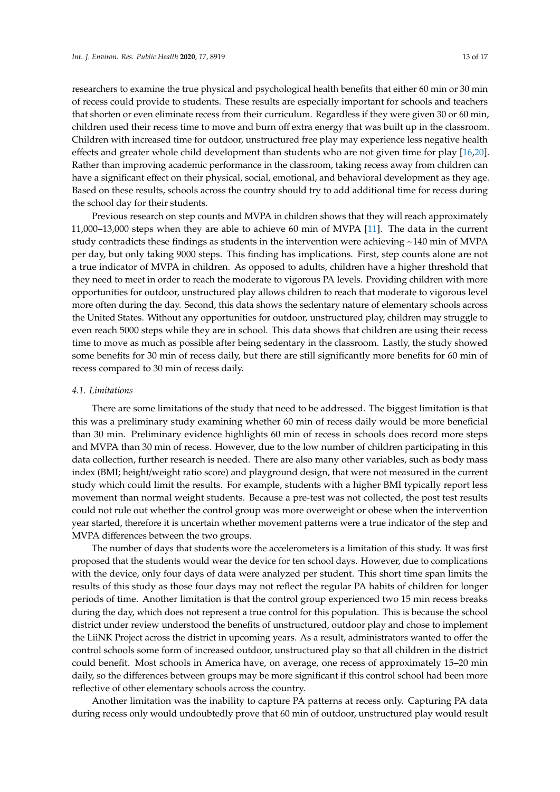researchers to examine the true physical and psychological health benefits that either 60 min or 30 min of recess could provide to students. These results are especially important for schools and teachers that shorten or even eliminate recess from their curriculum. Regardless if they were given 30 or 60 min, children used their recess time to move and burn off extra energy that was built up in the classroom. Children with increased time for outdoor, unstructured free play may experience less negative health effects and greater whole child development than students who are not given time for play [\[16,](#page-14-15)[20\]](#page-14-19). Rather than improving academic performance in the classroom, taking recess away from children can have a significant effect on their physical, social, emotional, and behavioral development as they age. Based on these results, schools across the country should try to add additional time for recess during the school day for their students.

Previous research on step counts and MVPA in children shows that they will reach approximately 11,000–13,000 steps when they are able to achieve 60 min of MVPA [\[11\]](#page-14-10). The data in the current study contradicts these findings as students in the intervention were achieving  $\sim$ 140 min of MVPA per day, but only taking 9000 steps. This finding has implications. First, step counts alone are not a true indicator of MVPA in children. As opposed to adults, children have a higher threshold that they need to meet in order to reach the moderate to vigorous PA levels. Providing children with more opportunities for outdoor, unstructured play allows children to reach that moderate to vigorous level more often during the day. Second, this data shows the sedentary nature of elementary schools across the United States. Without any opportunities for outdoor, unstructured play, children may struggle to even reach 5000 steps while they are in school. This data shows that children are using their recess time to move as much as possible after being sedentary in the classroom. Lastly, the study showed some benefits for 30 min of recess daily, but there are still significantly more benefits for 60 min of recess compared to 30 min of recess daily.

#### *4.1. Limitations*

There are some limitations of the study that need to be addressed. The biggest limitation is that this was a preliminary study examining whether 60 min of recess daily would be more beneficial than 30 min. Preliminary evidence highlights 60 min of recess in schools does record more steps and MVPA than 30 min of recess. However, due to the low number of children participating in this data collection, further research is needed. There are also many other variables, such as body mass index (BMI; height/weight ratio score) and playground design, that were not measured in the current study which could limit the results. For example, students with a higher BMI typically report less movement than normal weight students. Because a pre-test was not collected, the post test results could not rule out whether the control group was more overweight or obese when the intervention year started, therefore it is uncertain whether movement patterns were a true indicator of the step and MVPA differences between the two groups.

The number of days that students wore the accelerometers is a limitation of this study. It was first proposed that the students would wear the device for ten school days. However, due to complications with the device, only four days of data were analyzed per student. This short time span limits the results of this study as those four days may not reflect the regular PA habits of children for longer periods of time. Another limitation is that the control group experienced two 15 min recess breaks during the day, which does not represent a true control for this population. This is because the school district under review understood the benefits of unstructured, outdoor play and chose to implement the LiiNK Project across the district in upcoming years. As a result, administrators wanted to offer the control schools some form of increased outdoor, unstructured play so that all children in the district could benefit. Most schools in America have, on average, one recess of approximately 15–20 min daily, so the differences between groups may be more significant if this control school had been more reflective of other elementary schools across the country.

Another limitation was the inability to capture PA patterns at recess only. Capturing PA data during recess only would undoubtedly prove that 60 min of outdoor, unstructured play would result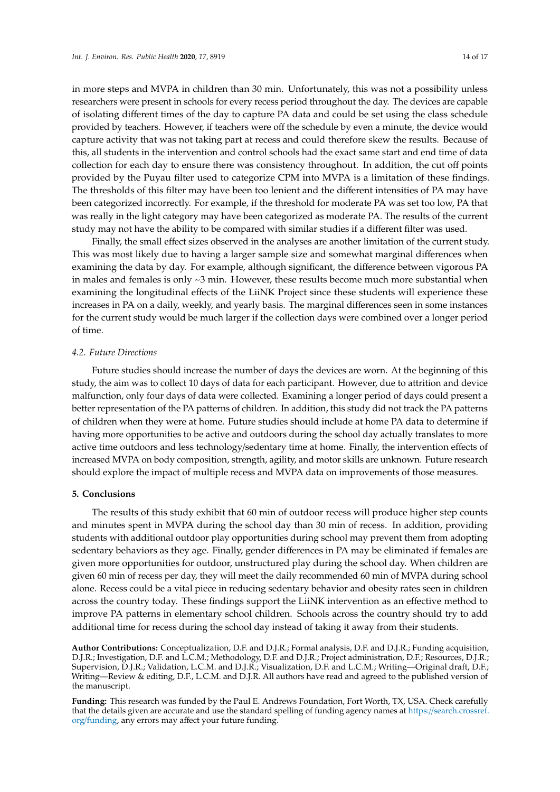in more steps and MVPA in children than 30 min. Unfortunately, this was not a possibility unless researchers were present in schools for every recess period throughout the day. The devices are capable of isolating different times of the day to capture PA data and could be set using the class schedule provided by teachers. However, if teachers were off the schedule by even a minute, the device would capture activity that was not taking part at recess and could therefore skew the results. Because of this, all students in the intervention and control schools had the exact same start and end time of data collection for each day to ensure there was consistency throughout. In addition, the cut off points provided by the Puyau filter used to categorize CPM into MVPA is a limitation of these findings. The thresholds of this filter may have been too lenient and the different intensities of PA may have been categorized incorrectly. For example, if the threshold for moderate PA was set too low, PA that was really in the light category may have been categorized as moderate PA. The results of the current study may not have the ability to be compared with similar studies if a different filter was used.

Finally, the small effect sizes observed in the analyses are another limitation of the current study. This was most likely due to having a larger sample size and somewhat marginal differences when examining the data by day. For example, although significant, the difference between vigorous PA in males and females is only  $\sim$ 3 min. However, these results become much more substantial when examining the longitudinal effects of the LiiNK Project since these students will experience these increases in PA on a daily, weekly, and yearly basis. The marginal differences seen in some instances for the current study would be much larger if the collection days were combined over a longer period of time.

#### *4.2. Future Directions*

Future studies should increase the number of days the devices are worn. At the beginning of this study, the aim was to collect 10 days of data for each participant. However, due to attrition and device malfunction, only four days of data were collected. Examining a longer period of days could present a better representation of the PA patterns of children. In addition, this study did not track the PA patterns of children when they were at home. Future studies should include at home PA data to determine if having more opportunities to be active and outdoors during the school day actually translates to more active time outdoors and less technology/sedentary time at home. Finally, the intervention effects of increased MVPA on body composition, strength, agility, and motor skills are unknown. Future research should explore the impact of multiple recess and MVPA data on improvements of those measures.

#### **5. Conclusions**

The results of this study exhibit that 60 min of outdoor recess will produce higher step counts and minutes spent in MVPA during the school day than 30 min of recess. In addition, providing students with additional outdoor play opportunities during school may prevent them from adopting sedentary behaviors as they age. Finally, gender differences in PA may be eliminated if females are given more opportunities for outdoor, unstructured play during the school day. When children are given 60 min of recess per day, they will meet the daily recommended 60 min of MVPA during school alone. Recess could be a vital piece in reducing sedentary behavior and obesity rates seen in children across the country today. These findings support the LiiNK intervention as an effective method to improve PA patterns in elementary school children. Schools across the country should try to add additional time for recess during the school day instead of taking it away from their students.

**Author Contributions:** Conceptualization, D.F. and D.J.R.; Formal analysis, D.F. and D.J.R.; Funding acquisition, D.J.R.; Investigation, D.F. and L.C.M.; Methodology, D.F. and D.J.R.; Project administration, D.F.; Resources, D.J.R.; Supervision, D.J.R.; Validation, L.C.M. and D.J.R.; Visualization, D.F. and L.C.M.; Writing—Original draft, D.F.; Writing—Review & editing, D.F., L.C.M. and D.J.R. All authors have read and agreed to the published version of the manuscript.

**Funding:** This research was funded by the Paul E. Andrews Foundation, Fort Worth, TX, USA. Check carefully that the details given are accurate and use the standard spelling of funding agency names at https://[search.crossref.](https://search.crossref.org/funding) org/[funding,](https://search.crossref.org/funding) any errors may affect your future funding.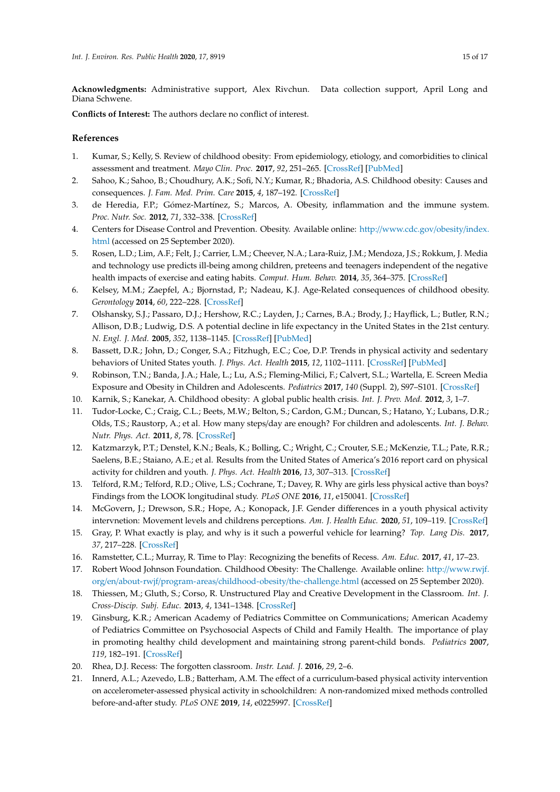**Acknowledgments:** Administrative support, Alex Rivchun. Data collection support, April Long and Diana Schwene.

**Conflicts of Interest:** The authors declare no conflict of interest.

## **References**

- <span id="page-14-0"></span>1. Kumar, S.; Kelly, S. Review of childhood obesity: From epidemiology, etiology, and comorbidities to clinical assessment and treatment. *Mayo Clin. Proc.* **2017**, *92*, 251–265. [\[CrossRef\]](http://dx.doi.org/10.1016/j.mayocp.2016.09.017) [\[PubMed\]](http://www.ncbi.nlm.nih.gov/pubmed/28065514)
- <span id="page-14-1"></span>2. Sahoo, K.; Sahoo, B.; Choudhury, A.K.; Sofi, N.Y.; Kumar, R.; Bhadoria, A.S. Childhood obesity: Causes and consequences. *J. Fam. Med. Prim. Care* **2015**, *4*, 187–192. [\[CrossRef\]](http://dx.doi.org/10.4103/2249-4863.154628)
- <span id="page-14-2"></span>3. de Heredia, F.P.; Gómez-Martínez, S.; Marcos, A. Obesity, inflammation and the immune system. *Proc. Nutr. Soc.* **2012**, *71*, 332–338. [\[CrossRef\]](http://dx.doi.org/10.1017/S0029665112000092)
- <span id="page-14-3"></span>4. Centers for Disease Control and Prevention. Obesity. Available online: http://[www.cdc.gov](http://www.cdc.gov/obesity/index.html)/obesity/index. [html](http://www.cdc.gov/obesity/index.html) (accessed on 25 September 2020).
- <span id="page-14-4"></span>5. Rosen, L.D.; Lim, A.F.; Felt, J.; Carrier, L.M.; Cheever, N.A.; Lara-Ruiz, J.M.; Mendoza, J.S.; Rokkum, J. Media and technology use predicts ill-being among children, preteens and teenagers independent of the negative health impacts of exercise and eating habits. *Comput. Hum. Behav.* **2014**, *35*, 364–375. [\[CrossRef\]](http://dx.doi.org/10.1016/j.chb.2014.01.036)
- <span id="page-14-5"></span>6. Kelsey, M.M.; Zaepfel, A.; Bjornstad, P.; Nadeau, K.J. Age-Related consequences of childhood obesity. *Gerontology* **2014**, *60*, 222–228. [\[CrossRef\]](http://dx.doi.org/10.1159/000356023)
- <span id="page-14-6"></span>7. Olshansky, S.J.; Passaro, D.J.; Hershow, R.C.; Layden, J.; Carnes, B.A.; Brody, J.; Hayflick, L.; Butler, R.N.; Allison, D.B.; Ludwig, D.S. A potential decline in life expectancy in the United States in the 21st century. *N. Engl. J. Med.* **2005**, *352*, 1138–1145. [\[CrossRef\]](http://dx.doi.org/10.1056/NEJMsr043743) [\[PubMed\]](http://www.ncbi.nlm.nih.gov/pubmed/15784668)
- <span id="page-14-7"></span>8. Bassett, D.R.; John, D.; Conger, S.A.; Fitzhugh, E.C.; Coe, D.P. Trends in physical activity and sedentary behaviors of United States youth. *J. Phys. Act. Health* **2015**, *12*, 1102–1111. [\[CrossRef\]](http://dx.doi.org/10.1123/jpah.2014-0050) [\[PubMed\]](http://www.ncbi.nlm.nih.gov/pubmed/25347913)
- <span id="page-14-8"></span>9. Robinson, T.N.; Banda, J.A.; Hale, L.; Lu, A.S.; Fleming-Milici, F.; Calvert, S.L.; Wartella, E. Screen Media Exposure and Obesity in Children and Adolescents. *Pediatrics* **2017**, *140* (Suppl. 2), S97–S101. [\[CrossRef\]](http://dx.doi.org/10.1542/peds.2016-1758K)
- <span id="page-14-9"></span>10. Karnik, S.; Kanekar, A. Childhood obesity: A global public health crisis. *Int. J. Prev. Med.* **2012**, *3*, 1–7.
- <span id="page-14-10"></span>11. Tudor-Locke, C.; Craig, C.L.; Beets, M.W.; Belton, S.; Cardon, G.M.; Duncan, S.; Hatano, Y.; Lubans, D.R.; Olds, T.S.; Raustorp, A.; et al. How many steps/day are enough? For children and adolescents. *Int. J. Behav. Nutr. Phys. Act.* **2011**, *8*, 78. [\[CrossRef\]](http://dx.doi.org/10.1186/1479-5868-8-78)
- <span id="page-14-11"></span>12. Katzmarzyk, P.T.; Denstel, K.N.; Beals, K.; Bolling, C.; Wright, C.; Crouter, S.E.; McKenzie, T.L.; Pate, R.R.; Saelens, B.E.; Staiano, A.E.; et al. Results from the United States of America's 2016 report card on physical activity for children and youth. *J. Phys. Act. Health* **2016**, *13*, 307–313. [\[CrossRef\]](http://dx.doi.org/10.1123/jpah.2016-0321)
- <span id="page-14-12"></span>13. Telford, R.M.; Telford, R.D.; Olive, L.S.; Cochrane, T.; Davey, R. Why are girls less physical active than boys? Findings from the LOOK longitudinal study. *PLoS ONE* **2016**, *11*, e150041. [\[CrossRef\]](http://dx.doi.org/10.1371/journal.pone.0150041)
- <span id="page-14-13"></span>14. McGovern, J.; Drewson, S.R.; Hope, A.; Konopack, J.F. Gender differences in a youth physical activity intervnetion: Movement levels and childrens perceptions. *Am. J. Health Educ.* **2020**, *51*, 109–119. [\[CrossRef\]](http://dx.doi.org/10.1080/19325037.2020.1712667)
- <span id="page-14-14"></span>15. Gray, P. What exactly is play, and why is it such a powerful vehicle for learning? *Top. Lang Dis.* **2017**, *37*, 217–228. [\[CrossRef\]](http://dx.doi.org/10.1097/TLD.0000000000000130)
- <span id="page-14-15"></span>16. Ramstetter, C.L.; Murray, R. Time to Play: Recognizing the benefits of Recess. *Am. Educ.* **2017**, *41*, 17–23.
- <span id="page-14-16"></span>17. Robert Wood Johnson Foundation. Childhood Obesity: The Challenge. Available online: http://[www.rwjf.](http://www.rwjf.org/en/about-rwjf/program-areas/childhood-obesity/the-challenge.html) org/en/about-rwjf/program-areas/childhood-obesity/[the-challenge.html](http://www.rwjf.org/en/about-rwjf/program-areas/childhood-obesity/the-challenge.html) (accessed on 25 September 2020).
- <span id="page-14-17"></span>18. Thiessen, M.; Gluth, S.; Corso, R. Unstructured Play and Creative Development in the Classroom. *Int. J. Cross-Discip. Subj. Educ.* **2013**, *4*, 1341–1348. [\[CrossRef\]](http://dx.doi.org/10.20533/ijcdse.2042.6364.2013.0187)
- <span id="page-14-18"></span>19. Ginsburg, K.R.; American Academy of Pediatrics Committee on Communications; American Academy of Pediatrics Committee on Psychosocial Aspects of Child and Family Health. The importance of play in promoting healthy child development and maintaining strong parent-child bonds. *Pediatrics* **2007**, *119*, 182–191. [\[CrossRef\]](http://dx.doi.org/10.1542/peds.2006-2697)
- <span id="page-14-19"></span>20. Rhea, D.J. Recess: The forgotten classroom. *Instr. Lead. J.* **2016**, *29*, 2–6.
- <span id="page-14-20"></span>21. Innerd, A.L.; Azevedo, L.B.; Batterham, A.M. The effect of a curriculum-based physical activity intervention on accelerometer-assessed physical activity in schoolchildren: A non-randomized mixed methods controlled before-and-after study. *PLoS ONE* **2019**, *14*, e0225997. [\[CrossRef\]](http://dx.doi.org/10.1371/journal.pone.0225997)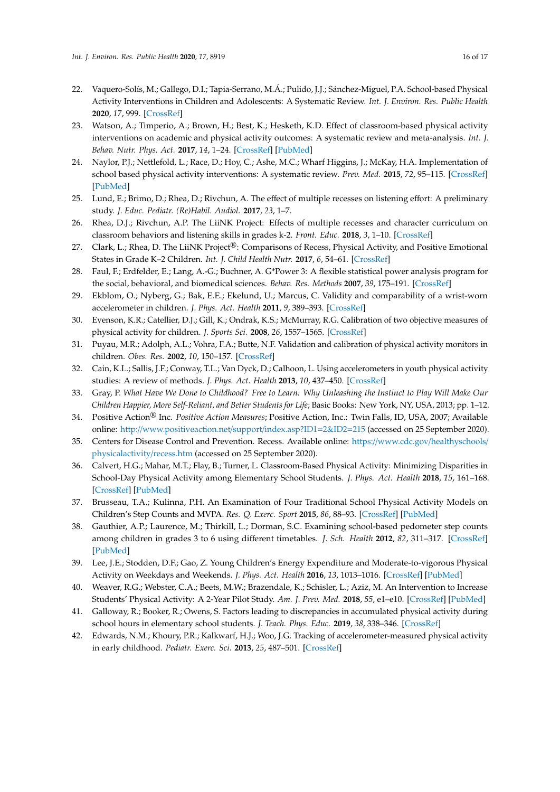- <span id="page-15-0"></span>22. Vaquero-Solís, M.; Gallego, D.I.; Tapia-Serrano, M.Á.; Pulido, J.J.; Sánchez-Miguel, P.A. School-based Physical Activity Interventions in Children and Adolescents: A Systematic Review. *Int. J. Environ. Res. Public Health* **2020**, *17*, 999. [\[CrossRef\]](http://dx.doi.org/10.3390/ijerph17030999)
- <span id="page-15-1"></span>23. Watson, A.; Timperio, A.; Brown, H.; Best, K.; Hesketh, K.D. Effect of classroom-based physical activity interventions on academic and physical activity outcomes: A systematic review and meta-analysis. *Int. J. Behav. Nutr. Phys. Act.* **2017**, *14*, 1–24. [\[CrossRef\]](http://dx.doi.org/10.1186/s12966-017-0569-9) [\[PubMed\]](http://www.ncbi.nlm.nih.gov/pubmed/28841890)
- <span id="page-15-2"></span>24. Naylor, P.J.; Nettlefold, L.; Race, D.; Hoy, C.; Ashe, M.C.; Wharf Higgins, J.; McKay, H.A. Implementation of school based physical activity interventions: A systematic review. *Prev. Med.* **2015**, *72*, 95–115. [\[CrossRef\]](http://dx.doi.org/10.1016/j.ypmed.2014.12.034) [\[PubMed\]](http://www.ncbi.nlm.nih.gov/pubmed/25575800)
- <span id="page-15-3"></span>25. Lund, E.; Brimo, D.; Rhea, D.; Rivchun, A. The effect of multiple recesses on listening effort: A preliminary study. *J. Educ. Pediatr. (Re)Habil. Audiol.* **2017**, *23*, 1–7.
- <span id="page-15-4"></span>26. Rhea, D.J.; Rivchun, A.P. The LiiNK Project: Effects of multiple recesses and character curriculum on classroom behaviors and listening skills in grades k-2. *Front. Educ.* **2018**, *3*, 1–10. [\[CrossRef\]](http://dx.doi.org/10.3389/feduc.2018.00009)
- <span id="page-15-5"></span>27. Clark, L.; Rhea, D. The LiiNK Project®: Comparisons of Recess, Physical Activity, and Positive Emotional States in Grade K–2 Children. *Int. J. Child Health Nutr.* **2017**, *6*, 54–61. [\[CrossRef\]](http://dx.doi.org/10.6000/1929-4247.2017.06.02.1)
- <span id="page-15-6"></span>28. Faul, F.; Erdfelder, E.; Lang, A.-G.; Buchner, A. G\*Power 3: A flexible statistical power analysis program for the social, behavioral, and biomedical sciences. *Behav. Res. Methods* **2007**, *39*, 175–191. [\[CrossRef\]](http://dx.doi.org/10.3758/BF03193146)
- <span id="page-15-7"></span>29. Ekblom, O.; Nyberg, G.; Bak, E.E.; Ekelund, U.; Marcus, C. Validity and comparability of a wrist-worn accelerometer in children. *J. Phys. Act. Health* **2011**, *9*, 389–393. [\[CrossRef\]](http://dx.doi.org/10.1123/jpah.9.3.389)
- <span id="page-15-8"></span>30. Evenson, K.R.; Catellier, D.J.; Gill, K.; Ondrak, K.S.; McMurray, R.G. Calibration of two objective measures of physical activity for children. *J. Sports Sci.* **2008**, *26*, 1557–1565. [\[CrossRef\]](http://dx.doi.org/10.1080/02640410802334196)
- <span id="page-15-9"></span>31. Puyau, M.R.; Adolph, A.L.; Vohra, F.A.; Butte, N.F. Validation and calibration of physical activity monitors in children. *Obes. Res.* **2002**, *10*, 150–157. [\[CrossRef\]](http://dx.doi.org/10.1038/oby.2002.24)
- <span id="page-15-10"></span>32. Cain, K.L.; Sallis, J.F.; Conway, T.L.; Van Dyck, D.; Calhoon, L. Using accelerometers in youth physical activity studies: A review of methods. *J. Phys. Act. Health* **2013**, *10*, 437–450. [\[CrossRef\]](http://dx.doi.org/10.1123/jpah.10.3.437)
- <span id="page-15-11"></span>33. Gray, P. *What Have We Done to Childhood? Free to Learn: Why Unleashing the Instinct to Play Will Make Our Children Happier, More Self-Reliant, and Better Students for Life*; Basic Books: New York, NY, USA, 2013; pp. 1–12.
- <span id="page-15-12"></span>34. Positive Action® Inc. *Positive Action Measures*; Positive Action, Inc.: Twin Falls, ID, USA, 2007; Available online: http://[www.positiveaction.net](http://www.positiveaction.net/support/index.asp?ID1=2&ID2=215)/support/index.asp?ID1=2&ID2=215 (accessed on 25 September 2020).
- <span id="page-15-13"></span>35. Centers for Disease Control and Prevention. Recess. Available online: https://www.cdc.gov/[healthyschools](https://www.cdc.gov/healthyschools/physicalactivity/recess.htm)/ [physicalactivity](https://www.cdc.gov/healthyschools/physicalactivity/recess.htm)/recess.htm (accessed on 25 September 2020).
- <span id="page-15-14"></span>36. Calvert, H.G.; Mahar, M.T.; Flay, B.; Turner, L. Classroom-Based Physical Activity: Minimizing Disparities in School-Day Physical Activity among Elementary School Students. *J. Phys. Act. Health* **2018**, *15*, 161–168. [\[CrossRef\]](http://dx.doi.org/10.1123/jpah.2017-0323) [\[PubMed\]](http://www.ncbi.nlm.nih.gov/pubmed/28872390)
- <span id="page-15-15"></span>37. Brusseau, T.A.; Kulinna, P.H. An Examination of Four Traditional School Physical Activity Models on Children's Step Counts and MVPA. *Res. Q. Exerc. Sport* **2015**, *86*, 88–93. [\[CrossRef\]](http://dx.doi.org/10.1080/02701367.2014.977431) [\[PubMed\]](http://www.ncbi.nlm.nih.gov/pubmed/25402409)
- <span id="page-15-16"></span>38. Gauthier, A.P.; Laurence, M.; Thirkill, L.; Dorman, S.C. Examining school-based pedometer step counts among children in grades 3 to 6 using different timetables. *J. Sch. Health* **2012**, *82*, 311–317. [\[CrossRef\]](http://dx.doi.org/10.1111/j.1746-1561.2012.00704.x) [\[PubMed\]](http://www.ncbi.nlm.nih.gov/pubmed/22671947)
- <span id="page-15-17"></span>39. Lee, J.E.; Stodden, D.F.; Gao, Z. Young Children's Energy Expenditure and Moderate-to-vigorous Physical Activity on Weekdays and Weekends. *J. Phys. Act. Health* **2016**, *13*, 1013–1016. [\[CrossRef\]](http://dx.doi.org/10.1123/jpah.2015-0725) [\[PubMed\]](http://www.ncbi.nlm.nih.gov/pubmed/27334405)
- <span id="page-15-18"></span>40. Weaver, R.G.; Webster, C.A.; Beets, M.W.; Brazendale, K.; Schisler, L.; Aziz, M. An Intervention to Increase Students' Physical Activity: A 2-Year Pilot Study. *Am. J. Prev. Med.* **2018**, *55*, e1–e10. [\[CrossRef\]](http://dx.doi.org/10.1016/j.amepre.2018.03.005) [\[PubMed\]](http://www.ncbi.nlm.nih.gov/pubmed/29776782)
- <span id="page-15-19"></span>41. Galloway, R.; Booker, R.; Owens, S. Factors leading to discrepancies in accumulated physical activity during school hours in elementary school students. *J. Teach. Phys. Educ.* **2019**, *38*, 338–346. [\[CrossRef\]](http://dx.doi.org/10.1123/jtpe.2018-0232)
- <span id="page-15-20"></span>42. Edwards, N.M.; Khoury, P.R.; Kalkwarf, H.J.; Woo, J.G. Tracking of accelerometer-measured physical activity in early childhood. *Pediatr. Exerc. Sci.* **2013**, *25*, 487–501. [\[CrossRef\]](http://dx.doi.org/10.1123/pes.25.3.487)